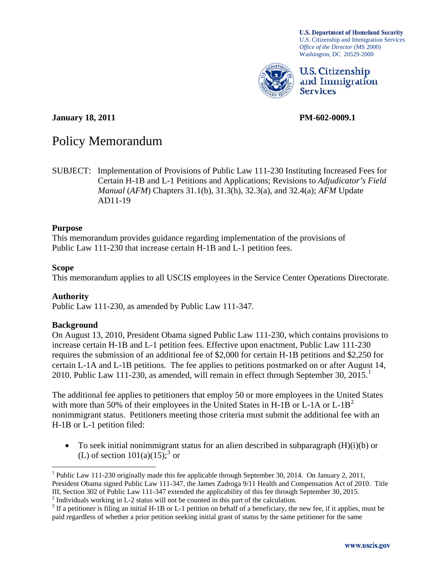**U.S. Department of Homeland Security** U.S. Citizenship and Immigration Services *Office of the Director* (MS 2000) Washington, DC 20529-2000



U.S. Citizenship and Immigration **Services** 

**January 18, 2011 PM-602-0009.1** 

# Policy Memorandum

SUBJECT: Implementation of Provisions of Public Law 111-230 Instituting Increased Fees for Certain H-1B and L-1 Petitions and Applications; Revisions to *Adjudicator's Field Manual* (*AFM*) Chapters 31.1(b), 31.3(h), 32.3(a), and 32.4(a); *AFM* Update AD11-19

#### **Purpose**

This memorandum provides guidance regarding implementation of the provisions of Public Law 111-230 that increase certain H-1B and L-1 petition fees.

#### **Scope**

1

This memorandum applies to all USCIS employees in the Service Center Operations Directorate.

#### **Authority**

Public Law 111-230, as amended by Public Law 111-347.

### **Background**

On August 13, 2010, President Obama signed Public Law 111-230, which contains provisions to increase certain H-1B and L-1 petition fees. Effective upon enactment, Public Law 111-230 requires the submission of an additional fee of \$2,000 for certain H-1B petitions and \$2,250 for certain L-1A and L-1B petitions. The fee applies to petitions postmarked on or after August 14, 20[1](#page-0-0)0. Public Law 111-230, as amended, will remain in effect through September 30,  $2015<sup>1</sup>$ 

The additional fee applies to petitioners that employ 50 or more employees in the United States with more than 50% of their employees in the United States in H-1B or L-1A or  $L-1B<sup>2</sup>$  $L-1B<sup>2</sup>$  $L-1B<sup>2</sup>$ nonimmigrant status. Petitioners meeting those criteria must submit the additional fee with an H-1B or L-1 petition filed:

 $\bullet$  To seek initial nonimmigrant status for an alien described in subparagraph  $(H)(i)(b)$  or (L) of section  $101(a)(15)$ ;<sup>[3](#page-0-2)</sup> or

<span id="page-0-0"></span><sup>&</sup>lt;sup>1</sup> Public Law 111-230 originally made this fee applicable through September 30, 2014. On January 2, 2011, President Obama signed Public Law 111-347, the James Zadroga 9/11 Health and Compensation Act of 2010. Title III, Section 302 of Public Law 111-347 extended the applicability of this fee through September 30, 2015. 2

<span id="page-0-1"></span> $2$  Individuals working in L-2 status will not be counted in this part of the calculation.

<span id="page-0-2"></span> $3$  If a petitioner is filing an initial H-1B or L-1 petition on behalf of a beneficiary, the new fee, if it applies, must be paid regardless of whether a prior petition seeking initial grant of status by the same petitioner for the same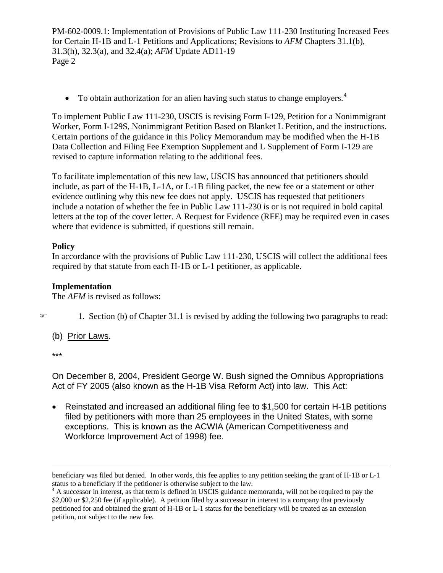$\bullet$  To obtain authorization for an alien having such status to change employers.<sup>[4](#page-1-0)</sup>

To implement Public Law 111-230, USCIS is revising Form I-129, Petition for a Nonimmigrant Worker, Form I-129S, Nonimmigrant Petition Based on Blanket L Petition, and the instructions. Certain portions of the guidance in this Policy Memorandum may be modified when the H-1B Data Collection and Filing Fee Exemption Supplement and L Supplement of Form I-129 are revised to capture information relating to the additional fees.

To facilitate implementation of this new law, USCIS has announced that petitioners should include, as part of the H-1B, L-1A, or L-1B filing packet, the new fee or a statement or other evidence outlining why this new fee does not apply. USCIS has requested that petitioners include a notation of whether the fee in Public Law 111-230 is or is not required in bold capital letters at the top of the cover letter. A Request for Evidence (RFE) may be required even in cases where that evidence is submitted, if questions still remain.

# **Policy**

In accordance with the provisions of Public Law 111-230, USCIS will collect the additional fees required by that statute from each H-1B or L-1 petitioner, as applicable.

## **Implementation**

The *AFM* is revised as follows:

 $\mathcal{F}$  1. Section (b) of Chapter 31.1 is revised by adding the following two paragraphs to read:

(b) Prior Laws.

\*\*\*

On December 8, 2004, President George W. Bush signed the Omnibus Appropriations Act of FY 2005 (also known as the H-1B Visa Reform Act) into law. This Act:

 Reinstated and increased an additional filing fee to \$1,500 for certain H-1B petitions filed by petitioners with more than 25 employees in the United States, with some exceptions. This is known as the ACWIA (American Competitiveness and Workforce Improvement Act of 1998) fee.

beneficiary was filed but denied. In other words, this fee applies to any petition seeking the grant of H-1B or L-1 status to a beneficiary if the petitioner is otherwise subject to the law.

<span id="page-1-0"></span><sup>&</sup>lt;sup>4</sup> A successor in interest, as that term is defined in USCIS guidance memoranda, will not be required to pay the \$2,000 or \$2,250 fee (if applicable). A petition filed by a successor in interest to a company that previously petitioned for and obtained the grant of H-1B or L-1 status for the beneficiary will be treated as an extension petition, not subject to the new fee.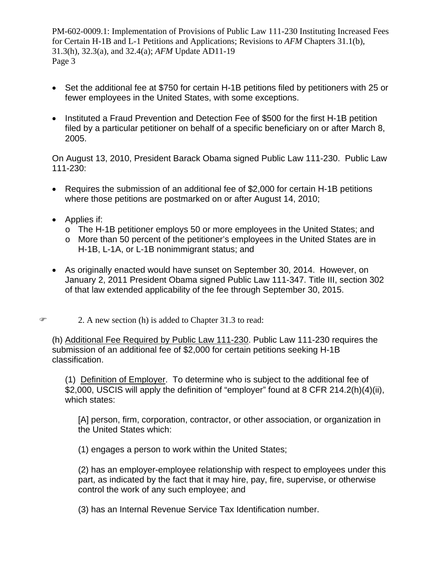- Set the additional fee at \$750 for certain H-1B petitions filed by petitioners with 25 or fewer employees in the United States, with some exceptions.
- Instituted a Fraud Prevention and Detection Fee of \$500 for the first H-1B petition filed by a particular petitioner on behalf of a specific beneficiary on or after March 8, 2005.

On August 13, 2010, President Barack Obama signed Public Law 111-230. Public Law 111-230:

- Requires the submission of an additional fee of \$2,000 for certain H-1B petitions where those petitions are postmarked on or after August 14, 2010;
- Applies if:
	- o The H-1B petitioner employs 50 or more employees in the United States; and
	- o More than 50 percent of the petitioner's employees in the United States are in H-1B, L-1A, or L-1B nonimmigrant status; and
- As originally enacted would have sunset on September 30, 2014. However, on January 2, 2011 President Obama signed Public Law 111-347. Title III, section 302 of that law extended applicability of the fee through September 30, 2015.
- $\mathcal{F}$  2. A new section (h) is added to Chapter 31.3 to read:

(h) Additional Fee Required by Public Law 111-230. Public Law 111-230 requires the submission of an additional fee of \$2,000 for certain petitions seeking H-1B classification.

(1) Definition of Employer. To determine who is subject to the additional fee of \$2,000, USCIS will apply the definition of "employer" found at 8 CFR 214.2(h)(4)(ii), which states:

[A] person, firm, corporation, contractor, or other association, or organization in the United States which:

(1) engages a person to work within the United States;

(2) has an employer-employee relationship with respect to employees under this part, as indicated by the fact that it may hire, pay, fire, supervise, or otherwise control the work of any such employee; and

(3) has an Internal Revenue Service Tax Identification number.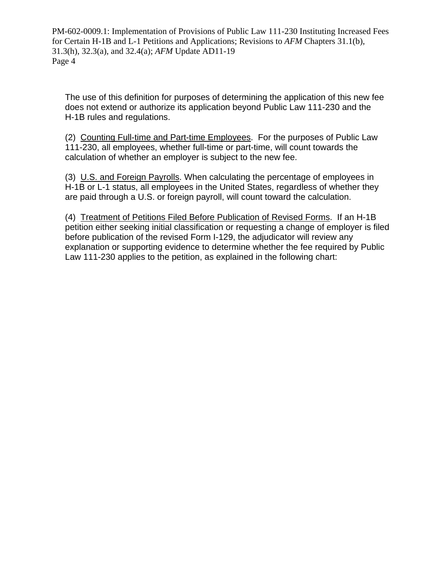The use of this definition for purposes of determining the application of this new fee does not extend or authorize its application beyond Public Law 111-230 and the H-1B rules and regulations.

(2) Counting Full-time and Part-time Employees. For the purposes of Public Law 111-230, all employees, whether full-time or part-time, will count towards the calculation of whether an employer is subject to the new fee.

(3) U.S. and Foreign Payrolls. When calculating the percentage of employees in H-1B or L-1 status, all employees in the United States, regardless of whether they are paid through a U.S. or foreign payroll, will count toward the calculation.

(4) Treatment of Petitions Filed Before Publication of Revised Forms. If an H-1B petition either seeking initial classification or requesting a change of employer is filed before publication of the revised Form I-129, the adjudicator will review any explanation or supporting evidence to determine whether the fee required by Public Law 111-230 applies to the petition, as explained in the following chart: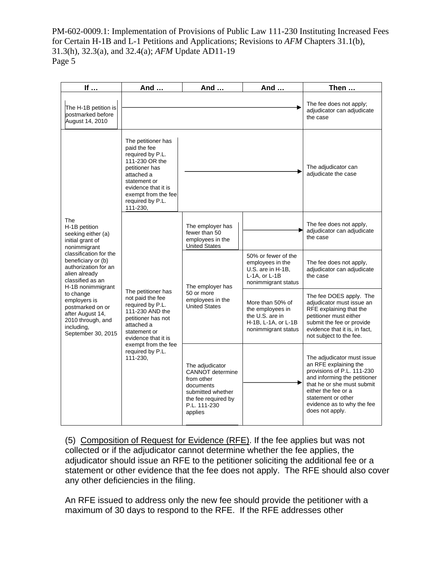| If                                                                                                                                                                                                                                                                                                                                             | And                                                                                                                                                                                                             | And                                                                                                                                   | And                                                                                                   | Then                                                                                                                                                                                                                                          |
|------------------------------------------------------------------------------------------------------------------------------------------------------------------------------------------------------------------------------------------------------------------------------------------------------------------------------------------------|-----------------------------------------------------------------------------------------------------------------------------------------------------------------------------------------------------------------|---------------------------------------------------------------------------------------------------------------------------------------|-------------------------------------------------------------------------------------------------------|-----------------------------------------------------------------------------------------------------------------------------------------------------------------------------------------------------------------------------------------------|
| The H-1B petition is<br>postmarked before<br>August 14, 2010                                                                                                                                                                                                                                                                                   |                                                                                                                                                                                                                 |                                                                                                                                       |                                                                                                       | The fee does not apply;<br>adjudicator can adjudicate<br>the case                                                                                                                                                                             |
| The<br>H-1B petition<br>seeking either (a)<br>initial grant of<br>nonimmigrant<br>classification for the<br>beneficiary or (b)<br>authorization for an<br>alien already<br>classified as an<br>H-1B nonimmigrant<br>to change<br>employers is<br>postmarked on or<br>after August 14,<br>2010 through, and<br>including,<br>September 30, 2015 | The petitioner has<br>paid the fee<br>required by P.L.<br>111-230 OR the<br>petitioner has<br>attached a<br>statement or<br>evidence that it is<br>exempt from the fee<br>required by P.L.<br>111-230,          |                                                                                                                                       |                                                                                                       | The adjudicator can<br>adjudicate the case                                                                                                                                                                                                    |
|                                                                                                                                                                                                                                                                                                                                                | The petitioner has<br>not paid the fee<br>required by P.L.<br>111-230 AND the<br>petitioner has not<br>attached a<br>statement or<br>evidence that it is<br>exempt from the fee<br>required by P.L.<br>111-230, | The employer has<br>fewer than 50<br>employees in the<br><b>United States</b>                                                         |                                                                                                       | The fee does not apply,<br>adjudicator can adjudicate<br>the case                                                                                                                                                                             |
|                                                                                                                                                                                                                                                                                                                                                |                                                                                                                                                                                                                 | The employer has<br>50 or more<br>employees in the<br><b>United States</b>                                                            | 50% or fewer of the<br>employees in the<br>U.S. are in H-1B,<br>L-1A, or L-1B<br>nonimmigrant status  | The fee does not apply,<br>adjudicator can adjudicate<br>the case                                                                                                                                                                             |
|                                                                                                                                                                                                                                                                                                                                                |                                                                                                                                                                                                                 |                                                                                                                                       | More than 50% of<br>the employees in<br>the U.S. are in<br>H-1B, L-1A, or L-1B<br>nonimmigrant status | The fee DOES apply. The<br>adjudicator must issue an<br>RFE explaining that the<br>petitioner must either<br>submit the fee or provide<br>evidence that it is, in fact,<br>not subject to the fee.                                            |
|                                                                                                                                                                                                                                                                                                                                                |                                                                                                                                                                                                                 | The adjudicator<br>CANNOT determine<br>from other<br>documents<br>submitted whether<br>the fee required by<br>P.L. 111-230<br>applies |                                                                                                       | The adjudicator must issue<br>an RFE explaining the<br>provisions of P.L. 111-230<br>and informing the petitioner<br>that he or she must submit<br>either the fee or a<br>statement or other<br>evidence as to why the fee<br>does not apply. |

(5) Composition of Request for Evidence (RFE). If the fee applies but was not collected or if the adjudicator cannot determine whether the fee applies, the adjudicator should issue an RFE to the petitioner soliciting the additional fee or a statement or other evidence that the fee does not apply. The RFE should also cover any other deficiencies in the filing.

An RFE issued to address only the new fee should provide the petitioner with a maximum of 30 days to respond to the RFE. If the RFE addresses other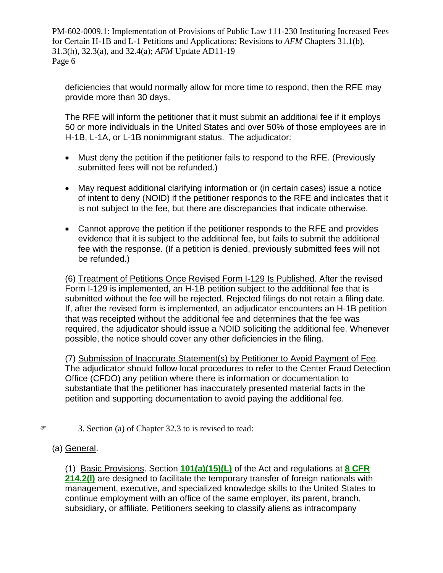deficiencies that would normally allow for more time to respond, then the RFE may provide more than 30 days.

The RFE will inform the petitioner that it must submit an additional fee if it employs 50 or more individuals in the United States and over 50% of those employees are in H-1B, L-1A, or L-1B nonimmigrant status. The adjudicator:

- Must deny the petition if the petitioner fails to respond to the RFE. (Previously submitted fees will not be refunded.)
- May request additional clarifying information or (in certain cases) issue a notice of intent to deny (NOID) if the petitioner responds to the RFE and indicates that it is not subject to the fee, but there are discrepancies that indicate otherwise.
- Cannot approve the petition if the petitioner responds to the RFE and provides evidence that it is subject to the additional fee, but fails to submit the additional fee with the response. (If a petition is denied, previously submitted fees will not be refunded.)

(6) Treatment of Petitions Once Revised Form I-129 Is Published. After the revised Form I-129 is implemented, an H-1B petition subject to the additional fee that is submitted without the fee will be rejected. Rejected filings do not retain a filing date. If, after the revised form is implemented, an adjudicator encounters an H-1B petition that was receipted without the additional fee and determines that the fee was required, the adjudicator should issue a NOID soliciting the additional fee. Whenever possible, the notice should cover any other deficiencies in the filing.

(7) Submission of Inaccurate Statement(s) by Petitioner to Avoid Payment of Fee. The adjudicator should follow local procedures to refer to the Center Fraud Detection Office (CFDO) any petition where there is information or documentation to substantiate that the petitioner has inaccurately presented material facts in the petition and supporting documentation to avoid paying the additional fee.

- 3. Section (a) of Chapter 32.3 to is revised to read:
	- (a) General.

(1) Basic Provisions. Section **[101\(a\)\(15\)\(L\)](http://dhsconnect.dhs.gov/uscis/org/EXSO/ilink/docView/SLB/HTML/SLB/0-0-0-1/0-0-0-28/0-0-0-100.html#0-0-0-703)** of the Act and regulations at **[8 CFR](http://dhsconnect.dhs.gov/uscis/org/EXSO/ilink/docView/SLB/HTML/SLB/0-0-0-1/0-0-0-11260/0-0-0-17196/0-0-0-18917.html#0-0-0-9219)  [214.2\(l\)](http://dhsconnect.dhs.gov/uscis/org/EXSO/ilink/docView/SLB/HTML/SLB/0-0-0-1/0-0-0-11260/0-0-0-17196/0-0-0-18917.html#0-0-0-9219)** are designed to facilitate the temporary transfer of foreign nationals with management, executive, and specialized knowledge skills to the United States to continue employment with an office of the same employer, its parent, branch, subsidiary, or affiliate. Petitioners seeking to classify aliens as intracompany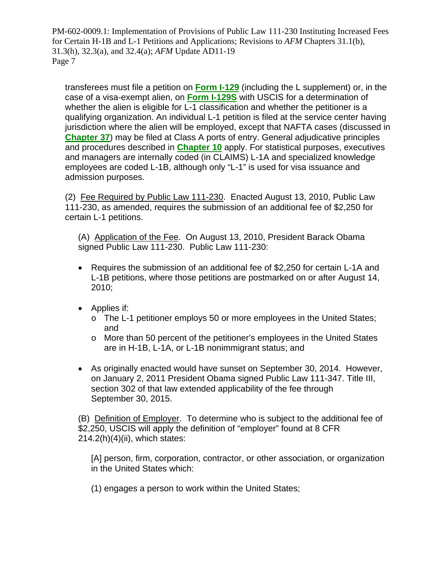transferees must file a petition on **[Form I-129](http://uscis.gov/graphics/formsfee/forms/i-129.htm)** (including the L supplement) or, in the case of a visa-exempt alien, on **Form I-129S** with USCIS for a determination of whether the alien is eligible for L-1 classification and whether the petitioner is a qualifying organization. An individual L-1 petition is filed at the service center having jurisdiction where the alien will be employed, except that NAFTA cases (discussed in **[Chapter 37](http://dhsconnect.dhs.gov/uscis/org/EXSO/ilink/docView/AFM/HTML/AFM/0-0-0-1/0-0-0-16277.html#0-0-0-763)**) may be filed at Class A ports of entry. General adjudicative principles and procedures described in **[Chapter 10](http://dhsconnect.dhs.gov/uscis/org/EXSO/ilink/docView/AFM/HTML/AFM/0-0-0-1/0-0-0-976.html#0-0-0-421)** apply. For statistical purposes, executives and managers are internally coded (in CLAIMS) L-1A and specialized knowledge employees are coded L-1B, although only "L-1" is used for visa issuance and admission purposes.

(2) Fee Required by Public Law 111-230. Enacted August 13, 2010, Public Law 111-230, as amended, requires the submission of an additional fee of \$2,250 for certain L-1 petitions.

(A) Application of the Fee. On August 13, 2010, President Barack Obama signed Public Law 111-230. Public Law 111-230:

- Requires the submission of an additional fee of \$2,250 for certain L-1A and L-1B petitions, where those petitions are postmarked on or after August 14, 2010;
- Applies if:
	- o The L-1 petitioner employs 50 or more employees in the United States; and
	- o More than 50 percent of the petitioner's employees in the United States are in H-1B, L-1A, or L-1B nonimmigrant status; and
- As originally enacted would have sunset on September 30, 2014. However, on January 2, 2011 President Obama signed Public Law 111-347. Title III, section 302 of that law extended applicability of the fee through September 30, 2015.

(B) Definition of Employer. To determine who is subject to the additional fee of \$2,250, USCIS will apply the definition of "employer" found at 8 CFR 214.2(h)(4)(ii), which states:

[A] person, firm, corporation, contractor, or other association, or organization in the United States which:

(1) engages a person to work within the United States;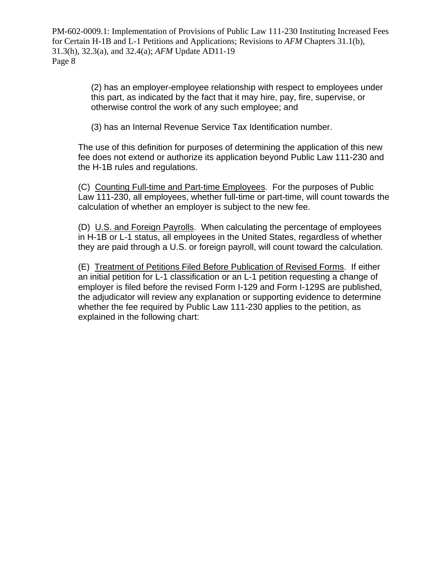> (2) has an employer-employee relationship with respect to employees under this part, as indicated by the fact that it may hire, pay, fire, supervise, or otherwise control the work of any such employee; and

(3) has an Internal Revenue Service Tax Identification number.

The use of this definition for purposes of determining the application of this new fee does not extend or authorize its application beyond Public Law 111-230 and the H-1B rules and regulations.

(C) Counting Full-time and Part-time Employees. For the purposes of Public Law 111-230, all employees, whether full-time or part-time, will count towards the calculation of whether an employer is subject to the new fee.

(D) U.S. and Foreign Payrolls. When calculating the percentage of employees in H-1B or L-1 status, all employees in the United States, regardless of whether they are paid through a U.S. or foreign payroll, will count toward the calculation.

(E) Treatment of Petitions Filed Before Publication of Revised Forms. If either an initial petition for L-1 classification or an L-1 petition requesting a change of employer is filed before the revised Form I-129 and Form I-129S are published, the adjudicator will review any explanation or supporting evidence to determine whether the fee required by Public Law 111-230 applies to the petition, as explained in the following chart: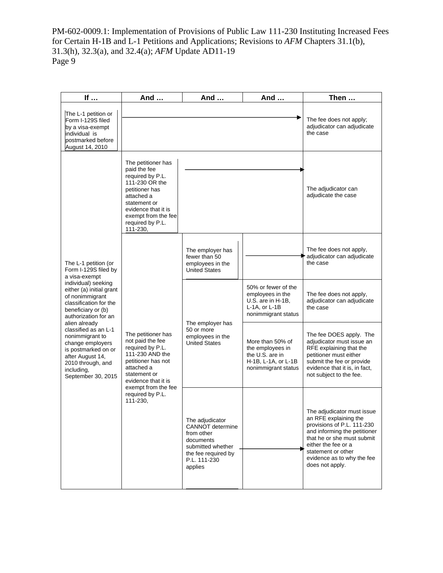| If $\ldots$                                                                                                                                                                                                                                                                                                                                                                                     | And                                                                                                                                                                                                             | And                                                                                                                                   | And                                                                                                   | Then                                                                                                                                                                                                                                          |
|-------------------------------------------------------------------------------------------------------------------------------------------------------------------------------------------------------------------------------------------------------------------------------------------------------------------------------------------------------------------------------------------------|-----------------------------------------------------------------------------------------------------------------------------------------------------------------------------------------------------------------|---------------------------------------------------------------------------------------------------------------------------------------|-------------------------------------------------------------------------------------------------------|-----------------------------------------------------------------------------------------------------------------------------------------------------------------------------------------------------------------------------------------------|
| The L-1 petition or<br>Form I-129S filed<br>by a visa-exempt<br>individual is<br>postmarked before<br>August 14, 2010                                                                                                                                                                                                                                                                           |                                                                                                                                                                                                                 |                                                                                                                                       |                                                                                                       | The fee does not apply;<br>adjudicator can adjudicate<br>the case                                                                                                                                                                             |
| The L-1 petition (or<br>Form I-129S filed by<br>a visa-exempt<br>individual) seeking<br>either (a) initial grant<br>of nonimmigrant<br>classification for the<br>beneficiary or (b)<br>authorization for an<br>alien already<br>classified as an L-1<br>nonimmigrant to<br>change employers<br>is postmarked on or<br>after August 14,<br>2010 through, and<br>including,<br>September 30, 2015 | The petitioner has<br>paid the fee<br>required by P.L.<br>111-230 OR the<br>petitioner has<br>attached a<br>statement or<br>evidence that it is<br>exempt from the fee<br>required by P.L.<br>111-230,          |                                                                                                                                       | The adjudicator can<br>adjudicate the case                                                            |                                                                                                                                                                                                                                               |
|                                                                                                                                                                                                                                                                                                                                                                                                 | The petitioner has<br>not paid the fee<br>required by P.L.<br>111-230 AND the<br>petitioner has not<br>attached a<br>statement or<br>evidence that it is<br>exempt from the fee<br>required by P.L.<br>111-230. | The employer has<br>fewer than 50<br>employees in the<br><b>United States</b>                                                         |                                                                                                       | The fee does not apply,<br>adjudicator can adjudicate<br>the case                                                                                                                                                                             |
|                                                                                                                                                                                                                                                                                                                                                                                                 |                                                                                                                                                                                                                 | The employer has<br>50 or more<br>employees in the<br><b>United States</b>                                                            | 50% or fewer of the<br>employees in the<br>U.S. are in H-1B,<br>L-1A, or L-1B<br>nonimmigrant status  | The fee does not apply,<br>adjudicator can adjudicate<br>the case                                                                                                                                                                             |
|                                                                                                                                                                                                                                                                                                                                                                                                 |                                                                                                                                                                                                                 |                                                                                                                                       | More than 50% of<br>the employees in<br>the U.S. are in<br>H-1B, L-1A, or L-1B<br>nonimmigrant status | The fee DOES apply. The<br>adjudicator must issue an<br>RFE explaining that the<br>petitioner must either<br>submit the fee or provide<br>evidence that it is, in fact,<br>not subject to the fee.                                            |
|                                                                                                                                                                                                                                                                                                                                                                                                 |                                                                                                                                                                                                                 | The adjudicator<br>CANNOT determine<br>from other<br>documents<br>submitted whether<br>the fee required by<br>P.L. 111-230<br>applies |                                                                                                       | The adjudicator must issue<br>an RFE explaining the<br>provisions of P.L. 111-230<br>and informing the petitioner<br>that he or she must submit<br>either the fee or a<br>statement or other<br>evidence as to why the fee<br>does not apply. |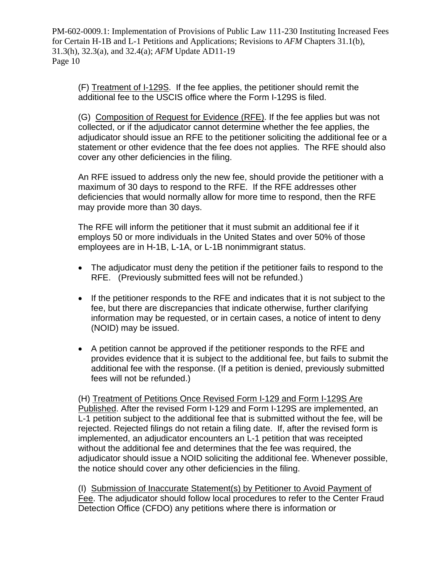(F) Treatment of I-129S. If the fee applies, the petitioner should remit the additional fee to the USCIS office where the Form I-129S is filed.

(G) Composition of Request for Evidence (RFE). If the fee applies but was not collected, or if the adjudicator cannot determine whether the fee applies, the adjudicator should issue an RFE to the petitioner soliciting the additional fee or a statement or other evidence that the fee does not applies. The RFE should also cover any other deficiencies in the filing.

An RFE issued to address only the new fee, should provide the petitioner with a maximum of 30 days to respond to the RFE. If the RFE addresses other deficiencies that would normally allow for more time to respond, then the RFE may provide more than 30 days.

The RFE will inform the petitioner that it must submit an additional fee if it employs 50 or more individuals in the United States and over 50% of those employees are in H-1B, L-1A, or L-1B nonimmigrant status.

- The adjudicator must deny the petition if the petitioner fails to respond to the RFE. (Previously submitted fees will not be refunded.)
- If the petitioner responds to the RFE and indicates that it is not subject to the fee, but there are discrepancies that indicate otherwise, further clarifying information may be requested, or in certain cases, a notice of intent to deny (NOID) may be issued.
- A petition cannot be approved if the petitioner responds to the RFE and provides evidence that it is subject to the additional fee, but fails to submit the additional fee with the response. (If a petition is denied, previously submitted fees will not be refunded.)

(H) Treatment of Petitions Once Revised Form I-129 and Form I-129S Are Published. After the revised Form I-129 and Form I-129S are implemented, an L-1 petition subject to the additional fee that is submitted without the fee, will be rejected. Rejected filings do not retain a filing date. If, after the revised form is implemented, an adjudicator encounters an L-1 petition that was receipted without the additional fee and determines that the fee was required, the adjudicator should issue a NOID soliciting the additional fee. Whenever possible, the notice should cover any other deficiencies in the filing.

(I) Submission of Inaccurate Statement(s) by Petitioner to Avoid Payment of Fee. The adjudicator should follow local procedures to refer to the Center Fraud Detection Office (CFDO) any petitions where there is information or